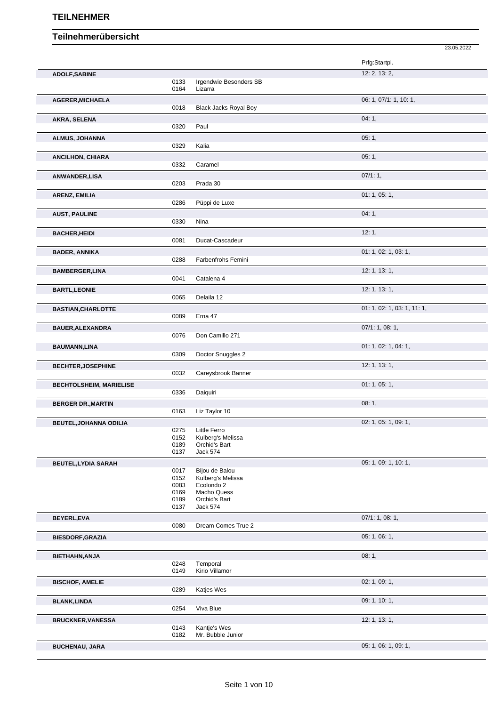|                                |              |                                   | 23.05.2022                  |
|--------------------------------|--------------|-----------------------------------|-----------------------------|
|                                |              |                                   | Prfg:Startpl.               |
| <b>ADOLF, SABINE</b>           |              |                                   | 12: 2, 13: 2,               |
|                                | 0133<br>0164 | Irgendwie Besonders SB<br>Lizarra |                             |
| <b>AGERER, MICHAELA</b>        |              |                                   | 06: 1, 07/1: 1, 10: 1,      |
|                                | 0018         | <b>Black Jacks Royal Boy</b>      |                             |
| AKRA, SELENA                   |              |                                   | 04:1,                       |
|                                | 0320         | Paul                              |                             |
| ALMUS, JOHANNA                 | 0329         | Kalia                             | 05:1,                       |
|                                |              |                                   | 05:1,                       |
| <b>ANCILHON, CHIARA</b>        | 0332         | Caramel                           |                             |
| ANWANDER, LISA                 |              |                                   | 07/1:1,                     |
|                                | 0203         | Prada 30                          |                             |
| ARENZ, EMILIA                  |              |                                   | 01: 1, 05: 1,               |
|                                | 0286         | Püppi de Luxe                     |                             |
| <b>AUST, PAULINE</b>           | 0330         | Nina                              | 04:1,                       |
| <b>BACHER, HEIDI</b>           |              |                                   | 12:1,                       |
|                                | 0081         | Ducat-Cascadeur                   |                             |
| <b>BADER, ANNIKA</b>           |              |                                   | 01: 1, 02: 1, 03: 1,        |
|                                | 0288         | Farbenfrohs Femini                |                             |
| <b>BAMBERGER,LINA</b>          |              |                                   | 12: 1, 13: 1,               |
|                                | 0041         | Catalena 4                        |                             |
| <b>BARTL, LEONIE</b>           | 0065         | Delaila 12                        | 12: 1, 13: 1,               |
| <b>BASTIAN, CHARLOTTE</b>      |              |                                   | 01: 1, 02: 1, 03: 1, 11: 1, |
|                                | 0089         | Erna 47                           |                             |
| <b>BAUER, ALEXANDRA</b>        |              |                                   | 07/1: 1, 08: 1,             |
|                                | 0076         | Don Camillo 271                   |                             |
| <b>BAUMANN,LINA</b>            |              |                                   | 01: 1, 02: 1, 04: 1,        |
|                                | 0309         | Doctor Snuggles 2                 |                             |
| <b>BECHTER, JOSEPHINE</b>      | 0032         | Careysbrook Banner                | 12: 1, 13: 1,               |
| <b>BECHTOLSHEIM, MARIELISE</b> |              |                                   | 01: 1, 05: 1,               |
|                                | 0336         | Daiquiri                          |                             |
| <b>BERGER DR., MARTIN</b>      |              |                                   | 08:1,                       |
|                                | 0163         | Liz Taylor 10                     |                             |
| BEUTEL, JOHANNA ODILIA         |              |                                   | 02: 1, 05: 1, 09: 1,        |
|                                | 0275<br>0152 | Little Ferro<br>Kulberg's Melissa |                             |
|                                | 0189         | Orchid's Bart                     |                             |
|                                | 0137         | Jack 574                          |                             |
| <b>BEUTEL, LYDIA SARAH</b>     | 0017         | Bijou de Balou                    | 05: 1, 09: 1, 10: 1,        |
|                                | 0152         | Kulberg's Melissa                 |                             |
|                                | 0083         | Ecolondo 2                        |                             |
|                                | 0169<br>0189 | Macho Quess<br>Orchid's Bart      |                             |
|                                | 0137         | Jack 574                          |                             |
| BEYERL, EVA                    |              |                                   | 07/1: 1, 08: 1,             |
|                                | 0080         | Dream Comes True 2                |                             |
| <b>BIESDORF, GRAZIA</b>        |              |                                   | 05: 1, 06: 1,               |
|                                |              |                                   |                             |
| BIETHAHN, ANJA                 | 0248         | Temporal                          | 08:1,                       |
|                                | 0149         | Kirio Villamor                    |                             |
| <b>BISCHOF, AMELIE</b>         |              |                                   | 02: 1, 09: 1,               |
|                                | 0289         | Katjes Wes                        |                             |
| <b>BLANK, LINDA</b>            |              |                                   | 09: 1, 10: 1,               |
|                                | 0254         | Viva Blue                         |                             |
| <b>BRUCKNER, VANESSA</b>       | 0143         | Kantje's Wes                      | 12: 1, 13: 1,               |
|                                | 0182         | Mr. Bubble Junior                 |                             |
| <b>BUCHENAU, JARA</b>          |              |                                   | 05: 1, 06: 1, 09: 1,        |
|                                |              |                                   |                             |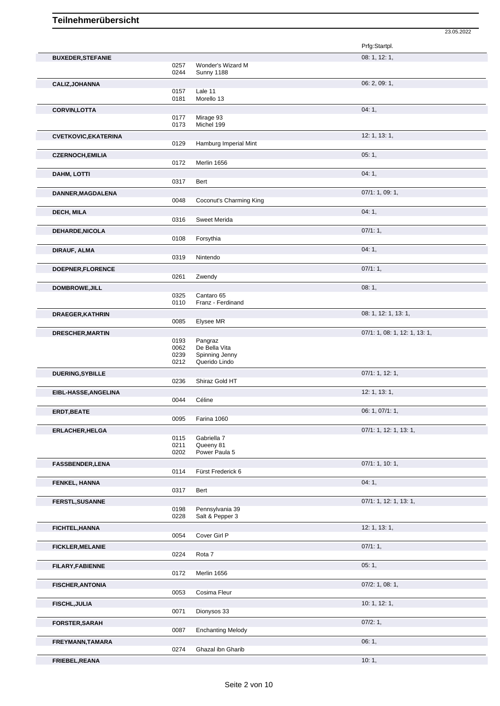|                             |              |                          | Prfg:Startpl.                 |
|-----------------------------|--------------|--------------------------|-------------------------------|
| <b>BUXEDER, STEFANIE</b>    |              |                          | 08: 1, 12: 1,                 |
|                             | 0257         | Wonder's Wizard M        |                               |
|                             | 0244         | <b>Sunny 1188</b>        |                               |
| <b>CALIZ, JOHANNA</b>       |              |                          | 06: 2, 09: 1,                 |
|                             | 0157         | Lale 11                  |                               |
|                             | 0181         | Morello 13               |                               |
| <b>CORVIN, LOTTA</b>        | 0177         | Mirage 93                | 04:1,                         |
|                             | 0173         | Michel 199               |                               |
| <b>CVETKOVIC, EKATERINA</b> |              |                          | 12: 1, 13: 1,                 |
|                             | 0129         | Hamburg Imperial Mint    |                               |
| <b>CZERNOCH, EMILIA</b>     |              |                          | 05:1,                         |
|                             | 0172         | Merlin 1656              |                               |
| <b>DAHM, LOTTI</b>          |              |                          | 04:1,                         |
|                             | 0317         | Bert                     |                               |
| DANNER, MAGDALENA           |              |                          | 07/1: 1, 09: 1,               |
|                             | 0048         | Coconut's Charming King  |                               |
| <b>DECH, MILA</b>           |              |                          | 04:1,                         |
|                             | 0316         | Sweet Merida             |                               |
| DEHARDE, NICOLA             |              |                          | 07/1:1,                       |
|                             | 0108         | Forsythia                |                               |
| DIRAUF, ALMA                | 0319         | Nintendo                 | 04:1,                         |
|                             |              |                          |                               |
| DOEPNER, FLORENCE           | 0261         | Zwendy                   | 07/1:1,                       |
|                             |              |                          | 08:1,                         |
| <b>DOMBROWE, JILL</b>       | 0325         | Cantaro 65               |                               |
|                             | 0110         | Franz - Ferdinand        |                               |
| DRAEGER, KATHRIN            |              |                          | 08: 1, 12: 1, 13: 1,          |
|                             | 0085         | Elysee MR                |                               |
| DRESCHER, MARTIN            |              |                          | 07/1: 1, 08: 1, 12: 1, 13: 1, |
|                             | 0193<br>0062 | Pangraz<br>De Bella Vita |                               |
|                             | 0239         | Spinning Jenny           |                               |
|                             |              | Querido Lindo            |                               |
|                             | 0212         |                          |                               |
| <b>DUERING, SYBILLE</b>     |              |                          | 07/1: 1, 12: 1,               |
|                             | 0236         | Shiraz Gold HT           |                               |
| EIBL-HASSE, ANGELINA        |              |                          | 12: 1, 13: 1,                 |
|                             | 0044         | Céline                   |                               |
| <b>ERDT, BEATE</b>          |              |                          | 06: 1, 07/1: 1,               |
|                             | 0095         | Farina 1060              |                               |
| <b>ERLACHER, HELGA</b>      |              |                          | 07/1: 1, 12: 1, 13: 1,        |
|                             | 0115<br>0211 | Gabriella 7<br>Queeny 81 |                               |
|                             | 0202         | Power Paula 5            |                               |
| <b>FASSBENDER,LENA</b>      |              |                          | 07/1: 1, 10: 1,               |
|                             | 0114         | Fürst Frederick 6        |                               |
| FENKEL, HANNA               |              |                          | 04:1,                         |
|                             | 0317         | Bert                     |                               |
| FERSTL, SUSANNE             |              |                          | 07/1: 1, 12: 1, 13: 1,        |
|                             | 0198         | Pennsylvania 39          |                               |
|                             | 0228         | Salt & Pepper 3          |                               |
| FICHTEL, HANNA              |              |                          | 12: 1, 13: 1,                 |
|                             | 0054         | Cover Girl P             |                               |
| <b>FICKLER, MELANIE</b>     | 0224         | Rota 7                   | 07/1:1,                       |
|                             |              |                          |                               |
| <b>FILARY, FABIENNE</b>     | 0172         | Merlin 1656              | 05:1,                         |
|                             |              |                          | $07/2$ : 1, 08: 1,            |
| <b>FISCHER, ANTONIA</b>     | 0053         | Cosima Fleur             |                               |
| <b>FISCHL, JULIA</b>        |              |                          | 10:1, 12:1,                   |
|                             | 0071         | Dionysos 33              |                               |
| <b>FORSTER, SARAH</b>       |              |                          | 07/2:1,                       |
|                             | 0087         | <b>Enchanting Melody</b> |                               |
| FREYMANN, TAMARA            |              |                          | 06:1,                         |
|                             | 0274         | Ghazal ibn Gharib        |                               |

23.05.2022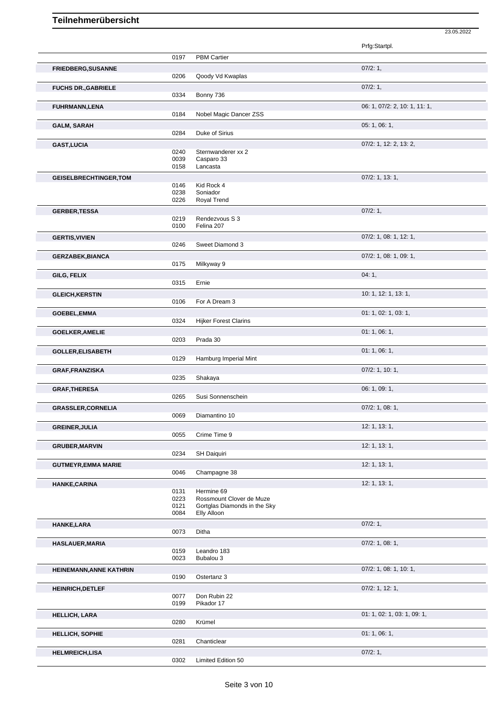|                                |              |                              | Prfg:Startpl.                 |
|--------------------------------|--------------|------------------------------|-------------------------------|
|                                | 0197         | <b>PBM Cartier</b>           |                               |
| <b>FRIEDBERG, SUSANNE</b>      |              |                              | 07/2:1,                       |
|                                | 0206         | Qoody Vd Kwaplas             |                               |
| <b>FUCHS DR., GABRIELE</b>     |              |                              | 07/2:1,                       |
|                                | 0334         | Bonny 736                    |                               |
| <b>FUHRMANN,LENA</b>           |              |                              | 06: 1, 07/2: 2, 10: 1, 11: 1, |
|                                | 0184         | Nobel Magic Dancer ZSS       |                               |
| <b>GALM, SARAH</b>             |              |                              | 05: 1, 06: 1,                 |
|                                | 0284         | Duke of Sirius               |                               |
| <b>GAST, LUCIA</b>             |              |                              | 07/2: 1, 12: 2, 13: 2,        |
|                                | 0240         | Sternwanderer xx 2           |                               |
|                                | 0039<br>0158 | Casparo 33<br>Lancasta       |                               |
|                                |              |                              |                               |
| <b>GEISELBRECHTINGER, TOM</b>  | 0146         | Kid Rock 4                   | $07/2$ : 1, 13: 1,            |
|                                | 0238         | Soniador                     |                               |
|                                | 0226         | Royal Trend                  |                               |
| <b>GERBER, TESSA</b>           |              |                              | 07/2:1,                       |
|                                | 0219         | Rendezvous S 3               |                               |
|                                | 0100         | Felina 207                   |                               |
| <b>GERTIS, VIVIEN</b>          |              |                              | 07/2: 1, 08: 1, 12: 1,        |
|                                | 0246         | Sweet Diamond 3              |                               |
| <b>GERZABEK, BIANCA</b>        |              |                              | 07/2: 1, 08: 1, 09: 1,        |
|                                | 0175         | Milkyway 9                   |                               |
| GILG, FELIX                    |              |                              | 04:1,                         |
|                                | 0315         | Ernie                        |                               |
| <b>GLEICH, KERSTIN</b>         |              |                              | 10: 1, 12: 1, 13: 1,          |
|                                | 0106         | For A Dream 3                |                               |
| <b>GOEBEL, EMMA</b>            |              |                              | 01: 1, 02: 1, 03: 1,          |
|                                | 0324         | <b>Hijker Forest Clarins</b> |                               |
| <b>GOELKER, AMELIE</b>         |              |                              | 01:1,06:1,                    |
|                                | 0203         | Prada 30                     |                               |
| <b>GOLLER, ELISABETH</b>       |              |                              | 01: 1, 06: 1,                 |
|                                | 0129         | Hamburg Imperial Mint        |                               |
| <b>GRAF, FRANZISKA</b>         |              |                              | $07/2$ : 1, 10: 1,            |
|                                | 0235         | Shakaya                      |                               |
| <b>GRAF, THERESA</b>           | 0265         | Susi Sonnenschein            | 06: 1, 09: 1,                 |
|                                |              |                              |                               |
| <b>GRASSLER, CORNELIA</b>      | 0069         | Diamantino 10                | $07/2$ : 1, 08: 1,            |
|                                |              |                              |                               |
| <b>GREINER, JULIA</b>          | 0055         | Crime Time 9                 | 12: 1, 13: 1,                 |
|                                |              |                              | 12: 1, 13: 1,                 |
| <b>GRUBER, MARVIN</b>          | 0234         | SH Daiquiri                  |                               |
|                                |              |                              |                               |
| <b>GUTMEYR, EMMA MARIE</b>     | 0046         | Champagne 38                 | 12: 1, 13: 1,                 |
|                                |              |                              |                               |
| HANKE, CARINA                  | 0131         | Hermine 69                   | 12: 1, 13: 1,                 |
|                                | 0223         | Rossmount Clover de Muze     |                               |
|                                | 0121         | Gortglas Diamonds in the Sky |                               |
|                                | 0084         | Elly Alloon                  |                               |
| <b>HANKE,LARA</b>              | 0073         | Ditha                        | 07/2:1,                       |
|                                |              |                              |                               |
| <b>HASLAUER, MARIA</b>         | 0159         | Leandro 183                  | $07/2$ : 1, 08: 1,            |
|                                | 0023         | Bubalou 3                    |                               |
| <b>HEINEMANN, ANNE KATHRIN</b> |              |                              | 07/2: 1, 08: 1, 10: 1,        |
|                                | 0190         | Ostertanz 3                  |                               |
| <b>HEINRICH, DETLEF</b>        |              |                              | $07/2$ : 1, 12: 1,            |
|                                | 0077         | Don Rubin 22                 |                               |
|                                | 0199         | Pikador 17                   |                               |
| <b>HELLICH, LARA</b>           |              |                              | 01: 1, 02: 1, 03: 1, 09: 1,   |
|                                | 0280         | Krümel                       |                               |
| <b>HELLICH, SOPHIE</b>         |              |                              | 01:1,06:1,                    |
|                                | 0281         | Chanticlear                  |                               |
| <b>HELMREICH,LISA</b>          |              |                              | 07/2:1,                       |
|                                | 0302         | Limited Edition 50           |                               |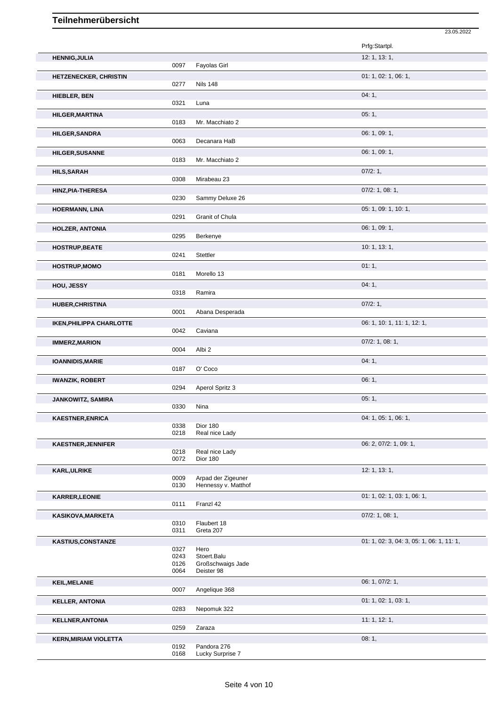|                                 |              |                                           | 23.05.2022                                |
|---------------------------------|--------------|-------------------------------------------|-------------------------------------------|
|                                 |              |                                           | Prfg:Startpl.                             |
| <b>HENNIG, JULIA</b>            | 0097         | Fayolas Girl                              | 12: 1, 13: 1,                             |
| HETZENECKER, CHRISTIN           |              |                                           | 01: 1, 02: 1, 06: 1,                      |
|                                 | 0277         | <b>Nils 148</b>                           |                                           |
| <b>HIEBLER, BEN</b>             |              |                                           | 04:1,                                     |
|                                 | 0321         | Luna                                      |                                           |
| <b>HILGER, MARTINA</b>          |              |                                           | 05:1,                                     |
|                                 | 0183         | Mr. Macchiato 2                           |                                           |
| <b>HILGER, SANDRA</b>           | 0063         | Decanara HaB                              | 06: 1, 09: 1,                             |
| <b>HILGER, SUSANNE</b>          |              |                                           | 06: 1, 09: 1,                             |
|                                 | 0183         | Mr. Macchiato 2                           |                                           |
| <b>HILS, SARAH</b>              |              |                                           | 07/2:1,                                   |
|                                 | 0308         | Mirabeau 23                               |                                           |
| HINZ, PIA-THERESA               | 0230         |                                           | $07/2$ : 1, 08: 1,                        |
|                                 |              | Sammy Deluxe 26                           |                                           |
| <b>HOERMANN, LINA</b>           | 0291         | Granit of Chula                           | 05: 1, 09: 1, 10: 1,                      |
| <b>HOLZER, ANTONIA</b>          |              |                                           | 06: 1, 09: 1,                             |
|                                 | 0295         | Berkenye                                  |                                           |
| <b>HOSTRUP, BEATE</b>           |              |                                           | 10: 1, 13: 1,                             |
|                                 | 0241         | Stettler                                  |                                           |
| <b>HOSTRUP, MOMO</b>            |              |                                           | 01:1,                                     |
|                                 | 0181         | Morello 13                                |                                           |
| HOU, JESSY                      | 0318         | Ramira                                    | 04:1,                                     |
| <b>HUBER, CHRISTINA</b>         |              |                                           | 07/2:1,                                   |
|                                 | 0001         | Abana Desperada                           |                                           |
| <b>IKEN, PHILIPPA CHARLOTTE</b> |              |                                           | 06: 1, 10: 1, 11: 1, 12: 1,               |
|                                 | 0042         | Caviana                                   |                                           |
| <b>IMMERZ, MARION</b>           |              |                                           | $07/2$ : 1, 08: 1,                        |
|                                 | 0004         | Albi <sub>2</sub>                         |                                           |
| <b>IOANNIDIS, MARIE</b>         | 0187         | O' Coco                                   | 04:1,                                     |
|                                 |              |                                           | 06:1,                                     |
| <b>IWANZIK, ROBERT</b>          | 0294         | Aperol Spritz 3                           |                                           |
| <b>JANKOWITZ, SAMIRA</b>        |              |                                           | 05:1,                                     |
|                                 | 0330         | Nina                                      |                                           |
| <b>KAESTNER, ENRICA</b>         |              |                                           | 04: 1, 05: 1, 06: 1,                      |
|                                 | 0338<br>0218 | Dior 180<br>Real nice Lady                |                                           |
| <b>KAESTNER, JENNIFER</b>       |              |                                           | 06: 2, 07/2: 1, 09: 1,                    |
|                                 | 0218         | Real nice Lady                            |                                           |
|                                 | 0072         | Dior 180                                  |                                           |
| <b>KARL, ULRIKE</b>             |              |                                           | 12: 1, 13: 1,                             |
|                                 | 0009<br>0130 | Arpad der Zigeuner<br>Hennessy v. Matthof |                                           |
| <b>KARRER, LEONIE</b>           |              |                                           | 01: 1, 02: 1, 03: 1, 06: 1,               |
|                                 | 0111         | Franzl 42                                 |                                           |
| KASIKOVA, MARKETA               |              |                                           | 07/2: 1, 08: 1,                           |
|                                 | 0310         | Flaubert 18                               |                                           |
|                                 | 0311         | Greta 207                                 |                                           |
| <b>KASTIUS, CONSTANZE</b>       | 0327         | Hero                                      | 01: 1, 02: 3, 04: 3, 05: 1, 06: 1, 11: 1, |
|                                 | 0243         | Stoert.Balu                               |                                           |
|                                 | 0126<br>0064 | Großschwaigs Jade<br>Deister 98           |                                           |
|                                 |              |                                           |                                           |
| <b>KEIL, MELANIE</b>            | 0007         | Angelique 368                             | 06: 1, 07/2: 1,                           |
| <b>KELLER, ANTONIA</b>          |              |                                           | 01: 1, 02: 1, 03: 1,                      |
|                                 | 0283         | Nepomuk 322                               |                                           |
| <b>KELLNER, ANTONIA</b>         |              |                                           | 11: 1, 12: 1,                             |
|                                 | 0259         | Zaraza                                    |                                           |
| <b>KERN, MIRIAM VIOLETTA</b>    |              |                                           | 08:1,                                     |
|                                 | 0192<br>0168 | Pandora 276<br>Lucky Surprise 7           |                                           |
|                                 |              |                                           |                                           |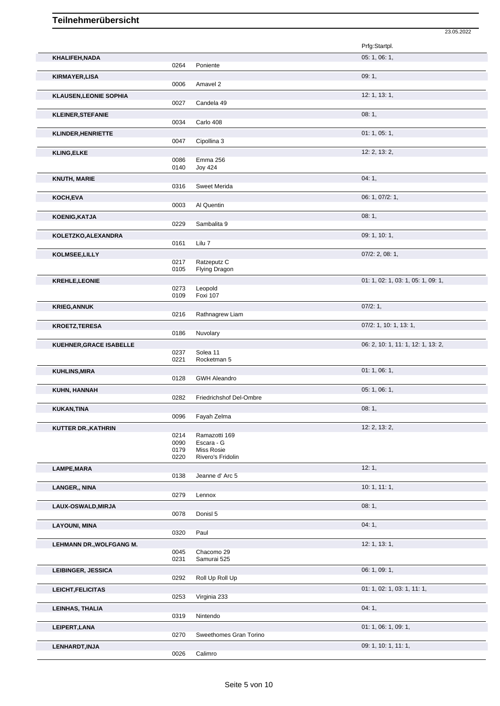|                               |              |                                 | 23.05.2022                         |
|-------------------------------|--------------|---------------------------------|------------------------------------|
|                               |              |                                 | Prfg:Startpl.                      |
|                               |              |                                 | 05: 1, 06: 1,                      |
| KHALIFEH, NADA                | 0264         | Poniente                        |                                    |
|                               |              |                                 | 09:1,                              |
| <b>KIRMAYER,LISA</b>          | 0006         | Amavel 2                        |                                    |
|                               |              |                                 | 12: 1, 13: 1,                      |
| <b>KLAUSEN, LEONIE SOPHIA</b> | 0027         | Candela 49                      |                                    |
| <b>KLEINER, STEFANIE</b>      |              |                                 | 08:1,                              |
|                               | 0034         | Carlo 408                       |                                    |
| <b>KLINDER, HENRIETTE</b>     |              |                                 | 01:1,05:1,                         |
|                               | 0047         | Cipollina 3                     |                                    |
| <b>KLING, ELKE</b>            |              |                                 | 12: 2, 13: 2,                      |
|                               | 0086         | Emma 256                        |                                    |
|                               | 0140         | <b>Joy 424</b>                  |                                    |
| <b>KNUTH, MARIE</b>           |              |                                 | 04:1,                              |
|                               | 0316         | Sweet Merida                    |                                    |
| KOCH, EVA                     |              |                                 | 06: 1, 07/2: 1,                    |
|                               | 0003         | Al Quentin                      |                                    |
| <b>KOENIG, KATJA</b>          |              |                                 | 08:1,                              |
|                               | 0229         | Sambalita 9                     |                                    |
| KOLETZKO, ALEXANDRA           |              |                                 | 09: 1, 10: 1,                      |
|                               | 0161         | Lilu 7                          |                                    |
| KOLMSEE, LILLY                |              |                                 | $07/2$ : 2, 08: 1,                 |
|                               | 0217<br>0105 | Ratzeputz C<br>Flying Dragon    |                                    |
| <b>KREHLE,LEONIE</b>          |              |                                 | 01: 1, 02: 1, 03: 1, 05: 1, 09: 1, |
|                               | 0273         | Leopold                         |                                    |
|                               | 0109         | Foxi 107                        |                                    |
| <b>KRIEG, ANNUK</b>           |              |                                 | 07/2:1,                            |
|                               | 0216         | Rathnagrew Liam                 |                                    |
| <b>KROETZ, TERESA</b>         |              |                                 | 07/2: 1, 10: 1, 13: 1,             |
|                               | 0186         | Nuvolary                        |                                    |
| KUEHNER, GRACE ISABELLE       |              |                                 | 06: 2, 10: 1, 11: 1, 12: 1, 13: 2, |
|                               | 0237<br>0221 | Solea 11<br>Rocketman 5         |                                    |
|                               |              |                                 |                                    |
| <b>KUHLINS, MIRA</b>          | 0128         | <b>GWH Aleandro</b>             | 01: 1, 06: 1,                      |
|                               |              |                                 | 05: 1, 06: 1,                      |
| KUHN, HANNAH                  | 0282         | Friedrichshof Del-Ombre         |                                    |
| <b>KUKAN, TINA</b>            |              |                                 | 08:1,                              |
|                               | 0096         | Fayah Zelma                     |                                    |
| KUTTER DR., KATHRIN           |              |                                 | 12: 2, 13: 2,                      |
|                               | 0214         | Ramazotti 169                   |                                    |
|                               | 0090         | Escara - G                      |                                    |
|                               | 0179<br>0220 | Miss Rosie<br>Rivero's Fridolin |                                    |
|                               |              |                                 |                                    |
| LAMPE, MARA                   | 0138         | Jeanne d'Arc 5                  | 12:1,                              |
|                               |              |                                 | 10:1, 11:1,                        |
| LANGER,, NINA                 | 0279         | Lennox                          |                                    |
|                               |              |                                 | 08:1,                              |
| LAUX-OSWALD, MIRJA            | 0078         | Donisl 5                        |                                    |
| <b>LAYOUNI, MINA</b>          |              |                                 | 04:1,                              |
|                               | 0320         | Paul                            |                                    |
| LEHMANN DR., WOLFGANG M.      |              |                                 | 12: 1, 13: 1,                      |
|                               | 0045         | Chacomo 29                      |                                    |
|                               | 0231         | Samurai 525                     |                                    |
| LEIBINGER, JESSICA            |              |                                 | 06: 1, 09: 1,                      |
|                               | 0292         | Roll Up Roll Up                 |                                    |
| LEICHT, FELICITAS             |              |                                 | 01: 1, 02: 1, 03: 1, 11: 1,        |
|                               | 0253         | Virginia 233                    |                                    |
| LEINHAS, THALIA               |              |                                 | 04:1,                              |
|                               | 0319         | Nintendo                        |                                    |
| LEIPERT, LANA                 |              |                                 | 01: 1, 06: 1, 09: 1,               |
|                               | 0270         | Sweethomes Gran Torino          |                                    |
| LENHARDT, INJA                |              |                                 | 09: 1, 10: 1, 11: 1,               |
|                               | 0026         | Calimro                         |                                    |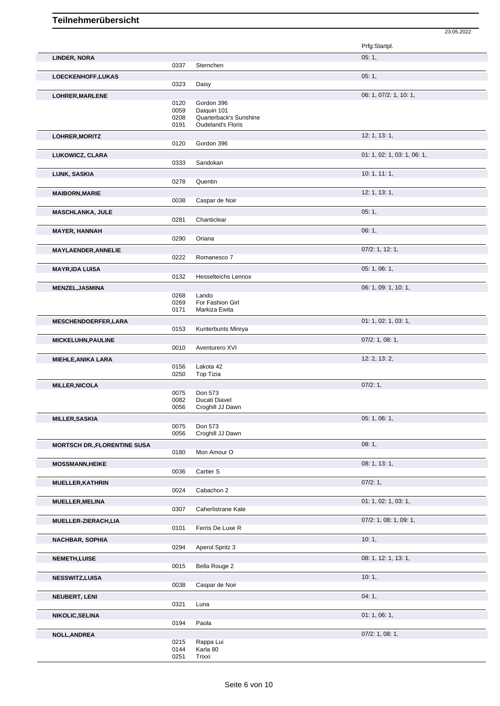|                                     |              |                               | Prfg:Startpl.               |
|-------------------------------------|--------------|-------------------------------|-----------------------------|
| LINDER, NORA                        | 0337         | Sternchen                     | 05:1,                       |
| LOECKENHOFF, LUKAS                  |              |                               | 05:1,                       |
|                                     | 0323         | Daisy                         |                             |
| LOHRER, MARLENE                     |              |                               | 06: 1, 07/2: 1, 10: 1,      |
|                                     | 0120         | Gordon 396                    |                             |
|                                     | 0059         | Daiquiri 101                  |                             |
|                                     | 0208         | Quarterback's Sunshine        |                             |
|                                     | 0191         | <b>Oudeland's Floris</b>      |                             |
| LOHRER, MORITZ                      |              |                               | 12: 1, 13: 1,               |
|                                     | 0120         | Gordon 396                    |                             |
| LUKOWICZ, CLARA                     |              |                               | 01: 1, 02: 1, 03: 1, 06: 1, |
|                                     | 0333         | Sandokan                      |                             |
| LUNK, SASKIA                        |              |                               | 10: 1, 11: 1,               |
|                                     | 0278         | Quentin                       |                             |
| <b>MAIBORN, MARIE</b>               |              |                               | 12: 1, 13: 1,               |
|                                     | 0038         | Caspar de Noir                |                             |
| <b>MASCHLANKA, JULE</b>             |              |                               | 05:1,                       |
|                                     | 0281         | Chanticlear                   |                             |
| <b>MAYER, HANNAH</b>                |              |                               | 06:1,                       |
|                                     | 0290         | Oriana                        |                             |
| <b>MAYLAENDER, ANNELIE</b>          |              |                               | $07/2$ : 1, 12: 1,          |
|                                     | 0222         | Romanesco 7                   |                             |
| <b>MAYR, IDA LUISA</b>              |              |                               | 05: 1, 06: 1,               |
|                                     | 0132         | <b>Hesselteichs Lennox</b>    |                             |
| <b>MENZEL, JASMINA</b>              |              |                               | 06: 1, 09: 1, 10: 1,        |
|                                     | 0268         | Lando                         |                             |
|                                     | 0269         | For Fashion Girl              |                             |
|                                     | 0171         | Markiza Ewita                 |                             |
| <b>MESCHENDOERFER,LARA</b>          |              |                               | 01: 1, 02: 1, 03: 1,        |
|                                     | 0153         | Kunterbunts Mireya            |                             |
| <b>MICKELUHN, PAULINE</b>           |              |                               | $07/2$ : 1, 08: 1,          |
|                                     | 0010         | Aventurero XVI                |                             |
| <b>MIEHLE, ANIKA LARA</b>           |              |                               | 12: 2, 13: 2,               |
|                                     | 0156<br>0250 | Lakota 42<br><b>Top Tizia</b> |                             |
|                                     |              |                               |                             |
| <b>MILLER, NICOLA</b>               | 0075         | Don 573                       | 07/2:1,                     |
|                                     | 0082         | Ducati Diavel                 |                             |
|                                     | 0056         | Croghill JJ Dawn              |                             |
| <b>MILLER, SASKIA</b>               |              |                               | 05: 1, 06: 1,               |
|                                     | 0075         | Don 573                       |                             |
|                                     | 0056         | Croghill JJ Dawn              |                             |
| <b>MORTSCH DR., FLORENTINE SUSA</b> |              |                               | 08:1,                       |
|                                     | 0180         | Mon Amour O                   |                             |
| <b>MOSSMANN, HEIKE</b>              |              |                               | 08: 1, 13: 1,               |
|                                     | 0036         | Cartier S                     |                             |
| <b>MUELLER, KATHRIN</b>             |              |                               | 07/2:1,                     |
|                                     | 0024         | Cabachon 2                    |                             |
| MUELLER, MELINA                     |              |                               | 01: 1, 02: 1, 03: 1,        |
|                                     | 0307         | Caherlistrane Kate            |                             |
| MUELLER-ZIERACH,LIA                 |              |                               | 07/2: 1, 08: 1, 09: 1,      |
|                                     | 0101         | Ferris De Luxe R              |                             |
| <b>NACHBAR, SOPHIA</b>              |              |                               | 10:1,                       |
|                                     | 0294         | Aperol Spritz 3               |                             |
| <b>NEMETH, LUISE</b>                |              |                               | 08: 1, 12: 1, 13: 1,        |
|                                     | 0015         | Bella Rouge 2                 |                             |
| <b>NESSWITZ,LUISA</b>               |              |                               | 10:1,                       |
|                                     | 0038         | Caspar de Noir                |                             |
| <b>NEUBERT, LENI</b>                |              |                               | 04:1,                       |
|                                     | 0321         | Luna                          |                             |
| <b>NIKOLIC, SELINA</b>              |              |                               | 01: 1, 06: 1,               |
|                                     | 0194         | Paola                         |                             |
| <b>NOLL, ANDREA</b>                 |              |                               | $07/2$ : 1, 08: 1,          |
|                                     | 0215         | Rappa Lui                     |                             |

23.05.2022

0144 Karla 80

0251 Trixxi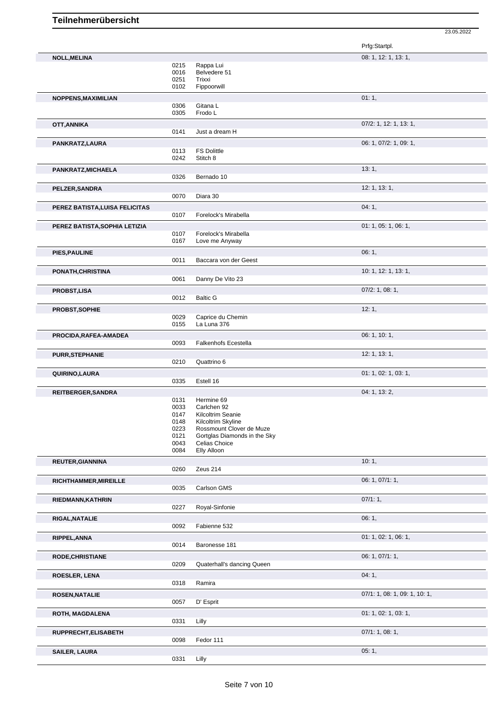|                                |                              |                                                    | Prfg:Startpl.                 |
|--------------------------------|------------------------------|----------------------------------------------------|-------------------------------|
| <b>NOLL, MELINA</b>            |                              |                                                    | 08: 1, 12: 1, 13: 1,          |
|                                | 0215<br>0016<br>0251<br>0102 | Rappa Lui<br>Belvedere 51<br>Trixxi<br>Fippoorwill |                               |
| NOPPENS, MAXIMILIAN            |                              |                                                    | 01:1,                         |
|                                | 0306<br>0305                 | Gitana L<br>Frodo L                                |                               |
| OTT, ANNIKA                    |                              |                                                    | 07/2: 1, 12: 1, 13: 1,        |
|                                | 0141                         | Just a dream H                                     |                               |
| PANKRATZ,LAURA                 |                              |                                                    | 06: 1, 07/2: 1, 09: 1,        |
|                                | 0113<br>0242                 | <b>FS Dolittle</b><br>Stitch 8                     |                               |
| PANKRATZ, MICHAELA             |                              |                                                    | 13:1,                         |
|                                | 0326                         | Bernado 10                                         |                               |
| PELZER, SANDRA                 | 0070                         | Diara 30                                           | 12: 1, 13: 1,                 |
|                                |                              |                                                    |                               |
| PEREZ BATISTA, LUISA FELICITAS | 0107                         | Forelock's Mirabella                               | 04:1,                         |
| PEREZ BATISTA, SOPHIA LETIZIA  | 0107                         | Forelock's Mirabella                               | 01: 1, 05: 1, 06: 1,          |
|                                | 0167                         | Love me Anyway                                     |                               |
| PIES, PAULINE                  |                              |                                                    | 06:1,                         |
|                                | 0011                         | Baccara von der Geest                              |                               |
| PONATH, CHRISTINA              |                              |                                                    | 10: 1, 12: 1, 13: 1,          |
|                                | 0061                         | Danny De Vito 23                                   |                               |
| <b>PROBST,LISA</b>             |                              |                                                    | $07/2$ : 1, 08: 1,            |
|                                | 0012                         | <b>Baltic G</b>                                    |                               |
| PROBST, SOPHIE                 | 0029<br>0155                 | Caprice du Chemin<br>La Luna 376                   | 12:1,                         |
| PROCIDA, RAFEA-AMADEA          | 0093                         | <b>Falkenhofs Ecestella</b>                        | 06: 1, 10: 1,                 |
|                                |                              |                                                    | 12: 1, 13: 1,                 |
| <b>PURR, STEPHANIE</b>         | 0210                         | Quattrino 6                                        |                               |
| QUIRINO, LAURA                 |                              |                                                    | 01: 1, 02: 1, 03: 1,          |
|                                | 0335                         | Estell 16                                          |                               |
| REITBERGER, SANDRA             |                              |                                                    | 04: 1, 13: 2,                 |
|                                | 0131                         | Hermine 69                                         |                               |
|                                | 0033<br>0147                 | Carlchen 92<br>Kilcoltrim Seanie                   |                               |
|                                | 0148                         | Kilcoltrim Skyline                                 |                               |
|                                | 0223                         | Rossmount Clover de Muze                           |                               |
|                                | 0121<br>0043                 | Gortglas Diamonds in the Sky<br>Celias Choice      |                               |
|                                | 0084                         | Elly Alloon                                        |                               |
| <b>REUTER, GIANNINA</b>        |                              |                                                    | 10:1,                         |
|                                | 0260                         | Zeus 214                                           |                               |
| RICHTHAMMER, MIREILLE          |                              |                                                    | 06: 1, 07/1: 1,               |
|                                | 0035                         | Carlson GMS                                        |                               |
| RIEDMANN, KATHRIN              |                              |                                                    | 07/1:1,                       |
|                                | 0227                         | Royal-Sinfonie                                     |                               |
| RIGAL, NATALIE                 |                              |                                                    | 06:1,                         |
|                                | 0092                         | Fabienne 532                                       |                               |
| RIPPEL, ANNA                   |                              |                                                    | 01: 1, 02: 1, 06: 1,          |
|                                | 0014                         | Baronesse 181                                      |                               |
| <b>RODE, CHRISTIANE</b>        |                              |                                                    | 06: 1, 07/1: 1,               |
|                                | 0209                         | Quaterhall's dancing Queen                         |                               |
| ROESLER, LENA                  | 0318                         | Ramira                                             | 04:1,                         |
|                                |                              |                                                    |                               |
| <b>ROSEN, NATALIE</b>          |                              | D' Esprit                                          | 07/1: 1, 08: 1, 09: 1, 10: 1, |
|                                | 0057                         |                                                    |                               |
| ROTH, MAGDALENA                |                              |                                                    | 01: 1, 02: 1, 03: 1,          |
|                                | 0331                         | Lilly                                              |                               |
| RUPPRECHT, ELISABETH           | 0098                         | Fedor 111                                          | 07/1: 1, 08: 1,               |
| <b>SAILER, LAURA</b>           | 0331                         | Lilly                                              | 05:1,                         |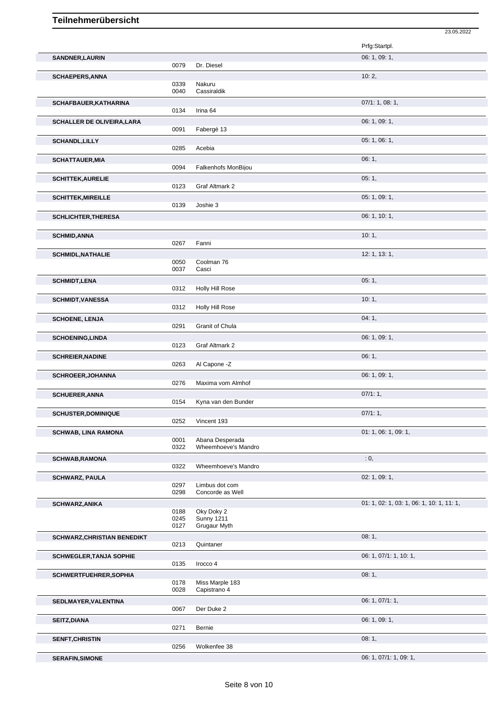|                                    |              |                                    | 23.05.2022                                |
|------------------------------------|--------------|------------------------------------|-------------------------------------------|
|                                    |              |                                    | Prfg:Startpl.                             |
| SANDNER, LAURIN                    |              |                                    | 06: 1, 09: 1,                             |
|                                    | 0079         | Dr. Diesel                         |                                           |
| <b>SCHAEPERS, ANNA</b>             |              |                                    | 10:2,                                     |
|                                    | 0339         | Nakuru                             |                                           |
|                                    | 0040         | Cassiraldik                        |                                           |
| SCHAFBAUER, KATHARINA              | 0134         | Irina 64                           | 07/1: 1, 08: 1,                           |
|                                    |              |                                    |                                           |
| <b>SCHALLER DE OLIVEIRA, LARA</b>  | 0091         | Fabergé 13                         | 06: 1, 09: 1,                             |
| <b>SCHANDL, LILLY</b>              |              |                                    | 05:1,06:1,                                |
|                                    | 0285         | Acebia                             |                                           |
| <b>SCHATTAUER, MIA</b>             |              |                                    | 06:1,                                     |
|                                    | 0094         | Falkenhofs MonBijou                |                                           |
| <b>SCHITTEK, AURELIE</b>           |              |                                    | 05:1,                                     |
|                                    | 0123         | Graf Altmark 2                     |                                           |
| <b>SCHITTEK, MIREILLE</b>          |              |                                    | 05: 1, 09: 1,                             |
|                                    | 0139         | Joshie 3                           |                                           |
| <b>SCHLICHTER, THERESA</b>         |              |                                    | 06: 1, 10: 1,                             |
|                                    |              |                                    |                                           |
| <b>SCHMID, ANNA</b>                |              |                                    | 10:1,                                     |
|                                    | 0267         | Fanni                              |                                           |
| <b>SCHMIDL, NATHALIE</b>           | 0050         |                                    | 12: 1, 13: 1,                             |
|                                    | 0037         | Coolman 76<br>Casci                |                                           |
| <b>SCHMIDT,LENA</b>                |              |                                    | 05:1,                                     |
|                                    | 0312         | Holly Hill Rose                    |                                           |
| <b>SCHMIDT, VANESSA</b>            |              |                                    | 10:1,                                     |
|                                    | 0312         | Holly Hill Rose                    |                                           |
| <b>SCHOENE, LENJA</b>              |              |                                    | 04:1,                                     |
|                                    | 0291         | Granit of Chula                    |                                           |
| <b>SCHOENING, LINDA</b>            |              |                                    | 06: 1, 09: 1,                             |
|                                    | 0123         | Graf Altmark 2                     |                                           |
| <b>SCHREIER, NADINE</b>            |              |                                    | 06:1,                                     |
|                                    | 0263         | Al Capone -Z                       |                                           |
| <b>SCHROEER, JOHANNA</b>           |              |                                    | 06: 1, 09: 1,                             |
|                                    | 0276         | Maxima vom Almhof                  |                                           |
| <b>SCHUERER, ANNA</b>              | 0154         | Kyna van den Bunder                | 07/1:1,                                   |
|                                    |              |                                    | 07/1:1,                                   |
| <b>SCHUSTER, DOMINIQUE</b>         | 0252         | Vincent 193                        |                                           |
| <b>SCHWAB, LINA RAMONA</b>         |              |                                    | 01: 1, 06: 1, 09: 1,                      |
|                                    | 0001         | Abana Desperada                    |                                           |
|                                    | 0322         | Wheemhoeve's Mandro                |                                           |
| <b>SCHWAB, RAMONA</b>              |              |                                    | : 0,                                      |
|                                    | 0322         | Wheemhoeve's Mandro                |                                           |
| <b>SCHWARZ, PAULA</b>              |              |                                    | 02: 1, 09: 1,                             |
|                                    | 0297<br>0298 | Limbus dot com<br>Concorde as Well |                                           |
|                                    |              |                                    |                                           |
| <b>SCHWARZ, ANIKA</b>              | 0188         | Oky Doky 2                         | 01: 1, 02: 1, 03: 1, 06: 1, 10: 1, 11: 1, |
|                                    | 0245         | <b>Sunny 1211</b>                  |                                           |
|                                    | 0127         | Grugaur Myth                       |                                           |
| <b>SCHWARZ, CHRISTIAN BENEDIKT</b> |              |                                    | 08:1,                                     |
|                                    | 0213         | Quintaner                          |                                           |
| <b>SCHWEGLER, TANJA SOPHIE</b>     |              |                                    | 06: 1, 07/1: 1, 10: 1,                    |
|                                    | 0135         | Irocco 4                           |                                           |
| SCHWERTFUEHRER, SOPHIA             |              |                                    | 08:1,                                     |
|                                    | 0178<br>0028 | Miss Marple 183<br>Capistrano 4    |                                           |
| SEDLMAYER, VALENTINA               |              |                                    | 06: 1, 07/1: 1,                           |
|                                    | 0067         | Der Duke 2                         |                                           |
| SEITZ, DIANA                       |              |                                    | 06: 1, 09: 1,                             |
|                                    | 0271         | Bernie                             |                                           |
| SENFT, CHRISTIN                    |              |                                    | 08:1,                                     |
|                                    | 0256         | Wolkenfee 38                       |                                           |
| <b>SERAFIN, SIMONE</b>             |              |                                    | 06: 1, 07/1: 1, 09: 1,                    |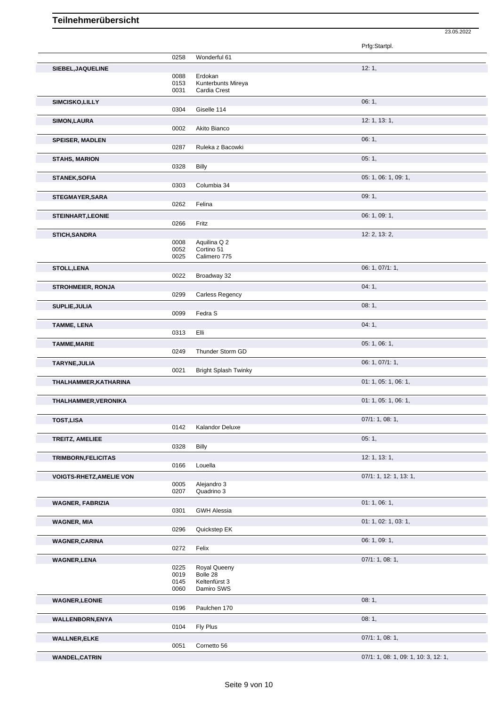|                                 |              |                             | Prfg:Startpl.                        |
|---------------------------------|--------------|-----------------------------|--------------------------------------|
|                                 | 0258         | Wonderful 61                |                                      |
| SIEBEL, JAQUELINE               |              |                             | 12:1,                                |
|                                 | 0088         | Erdokan                     |                                      |
|                                 | 0153         | Kunterbunts Mireya          |                                      |
|                                 | 0031         | Cardia Crest                |                                      |
| SIMCISKO, LILLY                 |              |                             | 06:1,                                |
|                                 | 0304         | Giselle 114                 |                                      |
| <b>SIMON, LAURA</b>             |              |                             | 12: 1, 13: 1,                        |
|                                 | 0002         | Akito Bianco                |                                      |
| <b>SPEISER, MADLEN</b>          |              |                             | 06:1,                                |
|                                 | 0287         | Ruleka z Bacowki            |                                      |
| <b>STAHS, MARION</b>            |              |                             | 05:1,                                |
|                                 | 0328         | <b>Billy</b>                |                                      |
| <b>STANEK, SOFIA</b>            |              |                             | 05: 1, 06: 1, 09: 1,                 |
|                                 | 0303         | Columbia 34                 |                                      |
| <b>STEGMAYER, SARA</b>          |              |                             | 09:1,                                |
|                                 | 0262         | Felina                      |                                      |
| <b>STEINHART, LEONIE</b>        |              |                             | 06: 1, 09: 1,                        |
|                                 | 0266         | Fritz                       |                                      |
| <b>STICH, SANDRA</b>            |              |                             | 12: 2, 13: 2,                        |
|                                 | 0008         | Aquilina Q 2<br>Cortino 51  |                                      |
|                                 | 0052<br>0025 | Calimero 775                |                                      |
| <b>STOLL, LENA</b>              |              |                             | 06: 1, 07/1: 1,                      |
|                                 | 0022         | Broadway 32                 |                                      |
| <b>STROHMEIER, RONJA</b>        |              |                             | 04:1,                                |
|                                 | 0299         | Carless Regency             |                                      |
|                                 |              |                             | 08:1,                                |
| SUPLIE, JULIA                   | 0099         | Fedra S                     |                                      |
|                                 |              |                             | 04:1,                                |
| <b>TAMME, LENA</b>              | 0313         | Elli                        |                                      |
|                                 |              |                             | 05: 1, 06: 1,                        |
| <b>TAMME, MARIE</b>             | 0249         | Thunder Storm GD            |                                      |
|                                 |              |                             |                                      |
| TARYNE, JULIA                   | 0021         | <b>Bright Splash Twinky</b> | 06: 1, 07/1: 1,                      |
|                                 |              |                             | 01: 1, 05: 1, 06: 1,                 |
| THALHAMMER, KATHARINA           |              |                             |                                      |
| THALHAMMER, VERONIKA            |              |                             | 01: 1, 05: 1, 06: 1,                 |
|                                 |              |                             |                                      |
| <b>TOST,LISA</b>                |              |                             | 07/1: 1, 08: 1,                      |
|                                 | 0142         | Kalandor Deluxe             |                                      |
| TREITZ, AMELIEE                 |              |                             | 05:1,                                |
|                                 | 0328         | <b>Billy</b>                |                                      |
| TRIMBORN, FELICITAS             |              |                             | 12: 1, 13: 1,                        |
|                                 | 0166         | Louella                     |                                      |
| <b>VOIGTS-RHETZ, AMELIE VON</b> |              |                             | 07/1: 1, 12: 1, 13: 1,               |
|                                 | 0005         | Alejandro 3                 |                                      |
|                                 | 0207         | Quadrino 3                  |                                      |
| <b>WAGNER, FABRIZIA</b>         |              |                             | 01:1,06:1,                           |
|                                 | 0301         | <b>GWH Alessia</b>          |                                      |
| <b>WAGNER, MIA</b>              |              |                             | 01: 1, 02: 1, 03: 1,                 |
|                                 | 0296         | Quickstep EK                |                                      |
| <b>WAGNER, CARINA</b>           |              |                             | 06: 1, 09: 1,                        |
|                                 | 0272         | Felix                       |                                      |
| <b>WAGNER,LENA</b>              |              |                             | 07/1: 1, 08: 1,                      |
|                                 | 0225         | Royal Queeny                |                                      |
|                                 | 0019<br>0145 | Bolle 28<br>Keltenfürst 3   |                                      |
|                                 | 0060         | Damiro SWS                  |                                      |
| <b>WAGNER,LEONIE</b>            |              |                             | 08:1,                                |
|                                 | 0196         | Paulchen 170                |                                      |
| <b>WALLENBORN,ENYA</b>          |              |                             | 08:1,                                |
|                                 | 0104         | Fly Plus                    |                                      |
| <b>WALLNER, ELKE</b>            |              |                             | 07/1: 1, 08: 1,                      |
|                                 | 0051         | Cornetto 56                 |                                      |
| <b>WANDEL,CATRIN</b>            |              |                             | 07/1: 1, 08: 1, 09: 1, 10: 3, 12: 1, |
|                                 |              |                             |                                      |

**WANDEL,CATRIN** 07/1: 1, 08: 1, 09: 1, 10: 3, 12: 1,